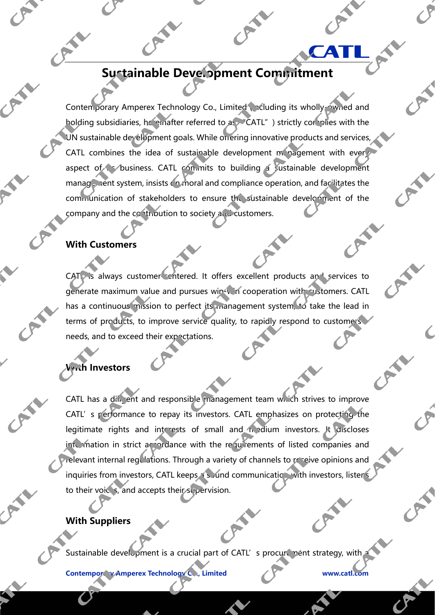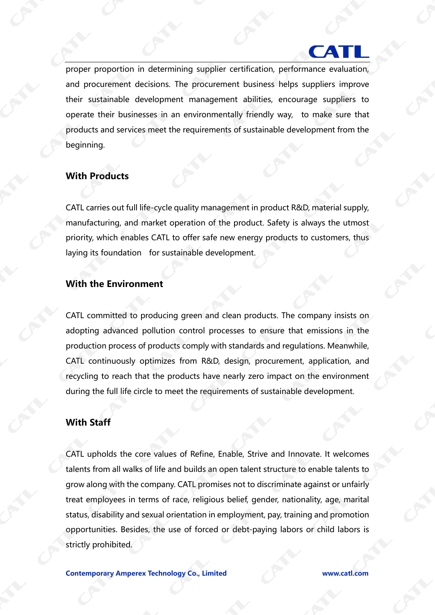# **CAI**

proper proportion in determining supplier certification, performance evaluation, and procurement decisions. The procurement business helps suppliers improve their sustainable development management abilities, encourage suppliers to operate their businesses in an environmentally friendly way, to make sure that products and services meet the requirements of sustainable development from the beginning.

#### **With Products**

CATL carries out full life-cycle quality management in product R&D, material supply, manufacturing, and market operation of the product. Safety is always the utmost priority, which enables CATL to offer safe new energy products to customers, thus laying its foundation for sustainable development.

#### **With the Environment**

CATL committed to producing green and clean products. The company insists on adopting advanced pollution control processes to ensure that emissions in the production process of products comply with standards and regulations. Meanwhile, CATL continuously optimizes from R&D, design, procurement, application, and recycling to reach that the products have nearly zero impact on the environment during the full life circle to meet the requirements of sustainable development.

#### **With Staff**

CATL upholds the core values of Refine, Enable, Strive and Innovate. It welcomes talents from all walks of life and builds an open talent structure to enable talents to grow along with the company. CATL promises not to discriminate against or unfairly treat employees in terms of race, religious belief, gender, nationality, age, marital status, disability and sexual orientation in employment, pay, training and promotion opportunities. Besides, the use of forced or debt-paying labors or child labors is strictly prohibited.

**Contemporary Amperex Technology Co., Limited www.catl.com**